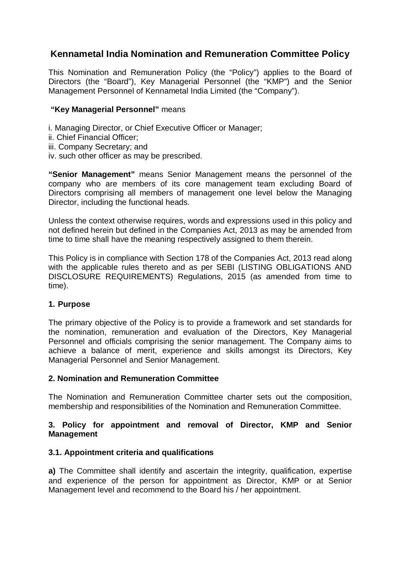# **Kennametal India Nomination and Remuneration Committee Policy**

This Nomination and Remuneration Policy (the "Policy") applies to the Board of Directors (the "Board"), Key Managerial Personnel (the "KMP") and the Senior Management Personnel of Kennametal India Limited (the "Company").

### **"Key Managerial Personnel"** means

- i. Managing Director, or Chief Executive Officer or Manager;
- ii. Chief Financial Officer;
- iii. Company Secretary; and
- iv. such other officer as may be prescribed.

**"Senior Management"** means Senior Management means the personnel of the company who are members of its core management team excluding Board of Directors comprising all members of management one level below the Managing Director, including the functional heads.

Unless the context otherwise requires, words and expressions used in this policy and not defined herein but defined in the Companies Act, 2013 as may be amended from time to time shall have the meaning respectively assigned to them therein.

This Policy is in compliance with Section 178 of the Companies Act, 2013 read along with the applicable rules thereto and as per SEBI (LISTING OBLIGATIONS AND DISCLOSURE REQUIREMENTS) Regulations, 2015 (as amended from time to time).

### **1. Purpose**

The primary objective of the Policy is to provide a framework and set standards for the nomination, remuneration and evaluation of the Directors, Key Managerial Personnel and officials comprising the senior management. The Company aims to achieve a balance of merit, experience and skills amongst its Directors, Key Managerial Personnel and Senior Management.

### **2. Nomination and Remuneration Committee**

The Nomination and Remuneration Committee charter sets out the composition, membership and responsibilities of the Nomination and Remuneration Committee.

### **3. Policy for appointment and removal of Director, KMP and Senior Management**

### **3.1. Appointment criteria and qualifications**

**a)** The Committee shall identify and ascertain the integrity, qualification, expertise and experience of the person for appointment as Director, KMP or at Senior Management level and recommend to the Board his / her appointment.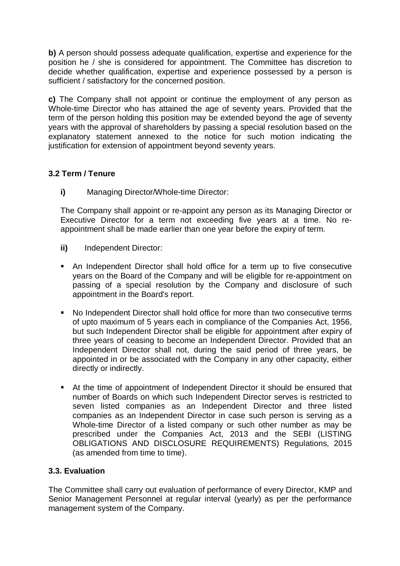**b)** A person should possess adequate qualification, expertise and experience for the position he / she is considered for appointment. The Committee has discretion to decide whether qualification, expertise and experience possessed by a person is sufficient / satisfactory for the concerned position.

**c)** The Company shall not appoint or continue the employment of any person as Whole-time Director who has attained the age of seventy years. Provided that the term of the person holding this position may be extended beyond the age of seventy years with the approval of shareholders by passing a special resolution based on the explanatory statement annexed to the notice for such motion indicating the justification for extension of appointment beyond seventy years.

# **3.2 Term / Tenure**

**i)** Managing Director/Whole-time Director:

The Company shall appoint or re-appoint any person as its Managing Director or Executive Director for a term not exceeding five years at a time. No reappointment shall be made earlier than one year before the expiry of term.

- **ii)** Independent Director:
- An Independent Director shall hold office for a term up to five consecutive years on the Board of the Company and will be eligible for re-appointment on passing of a special resolution by the Company and disclosure of such appointment in the Board's report.
- No Independent Director shall hold office for more than two consecutive terms of upto maximum of 5 years each in compliance of the Companies Act, 1956, but such Independent Director shall be eligible for appointment after expiry of three years of ceasing to become an Independent Director. Provided that an Independent Director shall not, during the said period of three years, be appointed in or be associated with the Company in any other capacity, either directly or indirectly.
- At the time of appointment of Independent Director it should be ensured that number of Boards on which such Independent Director serves is restricted to seven listed companies as an Independent Director and three listed companies as an Independent Director in case such person is serving as a Whole-time Director of a listed company or such other number as may be prescribed under the Companies Act, 2013 and the SEBI (LISTING OBLIGATIONS AND DISCLOSURE REQUIREMENTS) Regulations, 2015 (as amended from time to time).

### **3.3. Evaluation**

The Committee shall carry out evaluation of performance of every Director, KMP and Senior Management Personnel at regular interval (yearly) as per the performance management system of the Company.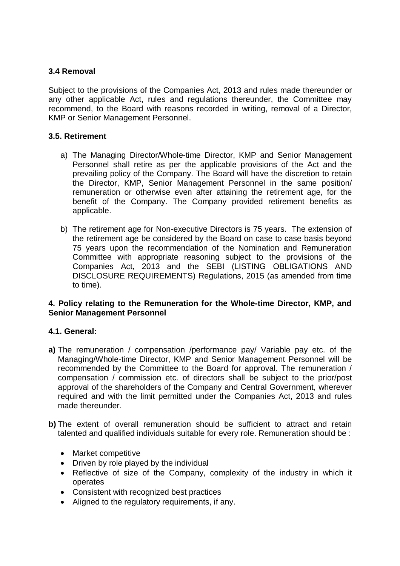### **3.4 Removal**

Subject to the provisions of the Companies Act, 2013 and rules made thereunder or any other applicable Act, rules and regulations thereunder, the Committee may recommend, to the Board with reasons recorded in writing, removal of a Director, KMP or Senior Management Personnel.

### **3.5. Retirement**

- a) The Managing Director/Whole-time Director, KMP and Senior Management Personnel shall retire as per the applicable provisions of the Act and the prevailing policy of the Company. The Board will have the discretion to retain the Director, KMP, Senior Management Personnel in the same position/ remuneration or otherwise even after attaining the retirement age, for the benefit of the Company. The Company provided retirement benefits as applicable.
- b) The retirement age for Non-executive Directors is 75 years. The extension of the retirement age be considered by the Board on case to case basis beyond 75 years upon the recommendation of the Nomination and Remuneration Committee with appropriate reasoning subject to the provisions of the Companies Act, 2013 and the SEBI (LISTING OBLIGATIONS AND DISCLOSURE REQUIREMENTS) Regulations, 2015 (as amended from time to time).

### **4. Policy relating to the Remuneration for the Whole-time Director, KMP, and Senior Management Personnel**

### **4.1. General:**

- **a)** The remuneration / compensation /performance pay/ Variable pay etc. of the Managing/Whole-time Director, KMP and Senior Management Personnel will be recommended by the Committee to the Board for approval. The remuneration / compensation / commission etc. of directors shall be subject to the prior/post approval of the shareholders of the Company and Central Government, wherever required and with the limit permitted under the Companies Act, 2013 and rules made thereunder.
- **b)** The extent of overall remuneration should be sufficient to attract and retain talented and qualified individuals suitable for every role. Remuneration should be :
	- Market competitive
	- Driven by role played by the individual
	- Reflective of size of the Company, complexity of the industry in which it operates
	- Consistent with recognized best practices
	- Aligned to the regulatory requirements, if any.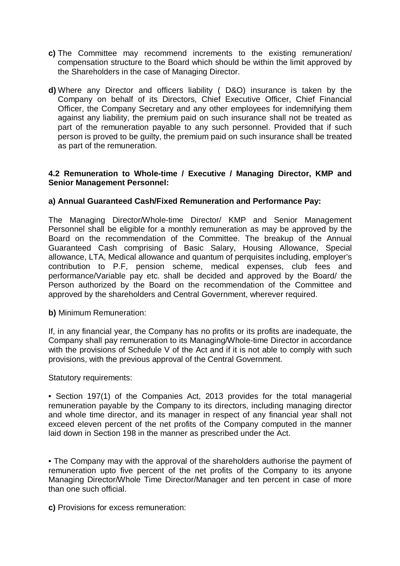- **c)** The Committee may recommend increments to the existing remuneration/ compensation structure to the Board which should be within the limit approved by the Shareholders in the case of Managing Director.
- **d)** Where any Director and officers liability ( D&O) insurance is taken by the Company on behalf of its Directors, Chief Executive Officer, Chief Financial Officer, the Company Secretary and any other employees for indemnifying them against any liability, the premium paid on such insurance shall not be treated as part of the remuneration payable to any such personnel. Provided that if such person is proved to be guilty, the premium paid on such insurance shall be treated as part of the remuneration.

### **4.2 Remuneration to Whole-time / Executive / Managing Director, KMP and Senior Management Personnel:**

### **a) Annual Guaranteed Cash/Fixed Remuneration and Performance Pay:**

The Managing Director/Whole-time Director/ KMP and Senior Management Personnel shall be eligible for a monthly remuneration as may be approved by the Board on the recommendation of the Committee. The breakup of the Annual Guaranteed Cash comprising of Basic Salary, Housing Allowance, Special allowance, LTA, Medical allowance and quantum of perquisites including, employer's contribution to P.F, pension scheme, medical expenses, club fees and performance/Variable pay etc. shall be decided and approved by the Board/ the Person authorized by the Board on the recommendation of the Committee and approved by the shareholders and Central Government, wherever required.

**b)** Minimum Remuneration:

If, in any financial year, the Company has no profits or its profits are inadequate, the Company shall pay remuneration to its Managing/Whole-time Director in accordance with the provisions of Schedule V of the Act and if it is not able to comply with such provisions, with the previous approval of the Central Government.

Statutory requirements:

• Section 197(1) of the Companies Act, 2013 provides for the total managerial remuneration payable by the Company to its directors, including managing director and whole time director, and its manager in respect of any financial year shall not exceed eleven percent of the net profits of the Company computed in the manner laid down in Section 198 in the manner as prescribed under the Act.

• The Company may with the approval of the shareholders authorise the payment of remuneration upto five percent of the net profits of the Company to its anyone Managing Director/Whole Time Director/Manager and ten percent in case of more than one such official.

**c)** Provisions for excess remuneration: